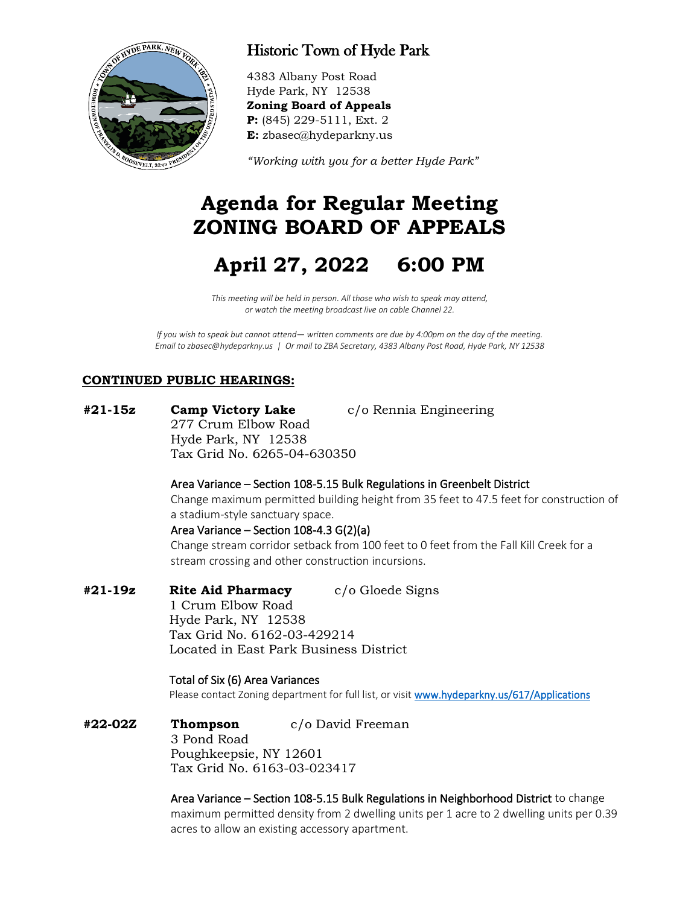

# Historic Town of Hyde Park

4383 Albany Post Road Hyde Park, NY 12538 **Zoning Board of Appeals P:** (845) 229-5111, Ext. 2 **E:** zbasec@hydeparkny.us

*"Working with you for a better Hyde Park"* 

# **Agenda for Regular Meeting ZONING BOARD OF APPEALS**

# **April 27, 2022 6:00 PM**

*This meeting will be held in person. All those who wish to speak may attend, or watch the meeting broadcast live on cable Channel 22.*

*If you wish to speak but cannot attend— written comments are due by 4:00pm on the day of the meeting. Email to zbasec@hydeparkny.us | Or mail to ZBA Secretary, 4383 Albany Post Road, Hyde Park, NY 12538*

## **CONTINUED PUBLIC HEARINGS:**

**#21-15z Camp Victory Lake** c/o Rennia Engineering 277 Crum Elbow Road Hyde Park, NY 12538 Tax Grid No. 6265-04-630350

Area Variance – Section 108-5.15 Bulk Regulations in Greenbelt District Change maximum permitted building height from 35 feet to 47.5 feet for construction of a stadium-style sanctuary space.

Area Variance – Section 108-4.3 G(2)(a)

Change stream corridor setback from 100 feet to 0 feet from the Fall Kill Creek for a stream crossing and other construction incursions.

**#21-19z Rite Aid Pharmacy** c/o Gloede Signs 1 Crum Elbow Road Hyde Park, NY 12538 Tax Grid No. 6162-03-429214 Located in East Park Business District

> Total of Six (6) Area Variances Please contact Zoning department for full list, or visi[t www.hydeparkny.us/617/Applications](http://www.hydeparkny.us/617/Applications)

**#22-02Z Thompson** c/o David Freeman 3 Pond Road Poughkeepsie, NY 12601 Tax Grid No. 6163-03-023417

> Area Variance – Section 108-5.15 Bulk Regulations in Neighborhood District to change maximum permitted density from 2 dwelling units per 1 acre to 2 dwelling units per 0.39 acres to allow an existing accessory apartment.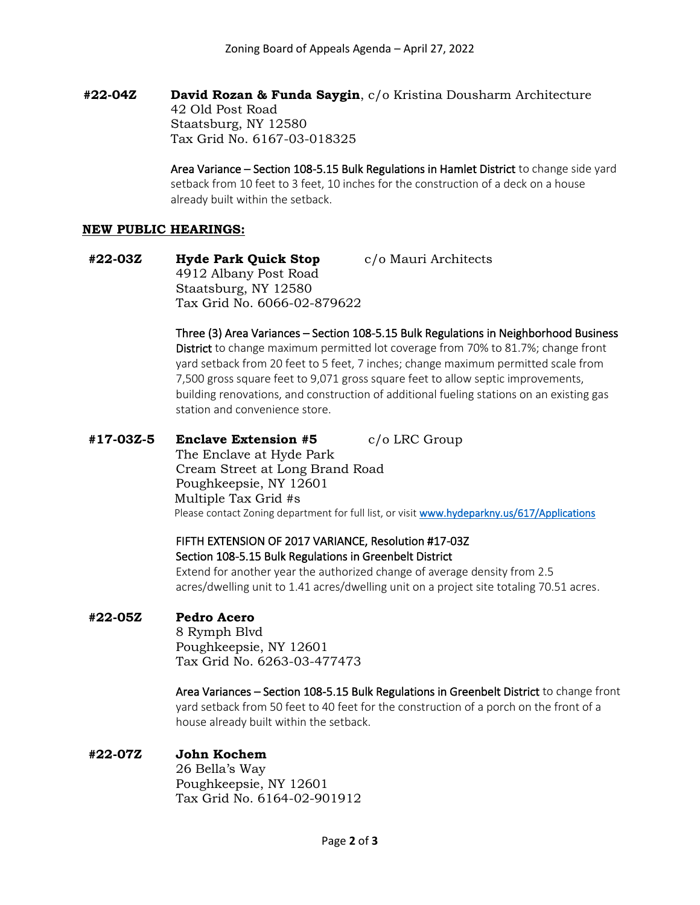#### **#22-04Z David Rozan & Funda Saygin**, c/o Kristina Dousharm Architecture 42 Old Post Road Staatsburg, NY 12580 Tax Grid No. 6167-03-018325

Area Variance – Section 108-5.15 Bulk Regulations in Hamlet District to change side yard setback from 10 feet to 3 feet, 10 inches for the construction of a deck on a house already built within the setback.

#### **NEW PUBLIC HEARINGS:**

**#22-03Z Hyde Park Quick Stop** c/o Mauri Architects 4912 Albany Post Road Staatsburg, NY 12580 Tax Grid No. 6066-02-879622

> Three (3) Area Variances – Section 108-5.15 Bulk Regulations in Neighborhood Business District to change maximum permitted lot coverage from 70% to 81.7%; change front yard setback from 20 feet to 5 feet, 7 inches; change maximum permitted scale from 7,500 gross square feet to 9,071 gross square feet to allow septic improvements, building renovations, and construction of additional fueling stations on an existing gas station and convenience store.

# **#17-03Z-5 Enclave Extension #5** c/o LRC Group

The Enclave at Hyde Park Cream Street at Long Brand Road Poughkeepsie, NY 12601 Multiple Tax Grid #s Please contact Zoning department for full list, or visit [www.hydeparkny.us/617/Applications](http://www.hydeparkny.us/617/Applications)

#### FIFTH EXTENSION OF 2017 VARIANCE, Resolution #17-03Z Section 108-5.15 Bulk Regulations in Greenbelt District

Extend for another year the authorized change of average density from 2.5 acres/dwelling unit to 1.41 acres/dwelling unit on a project site totaling 70.51 acres.

### **#22-05Z Pedro Acero**

8 Rymph Blvd Poughkeepsie, NY 12601 Tax Grid No. 6263-03-477473

Area Variances – Section 108-5.15 Bulk Regulations in Greenbelt District to change front yard setback from 50 feet to 40 feet for the construction of a porch on the front of a house already built within the setback.

### **#22-07Z John Kochem**

26 Bella's Way Poughkeepsie, NY 12601 Tax Grid No. 6164-02-901912